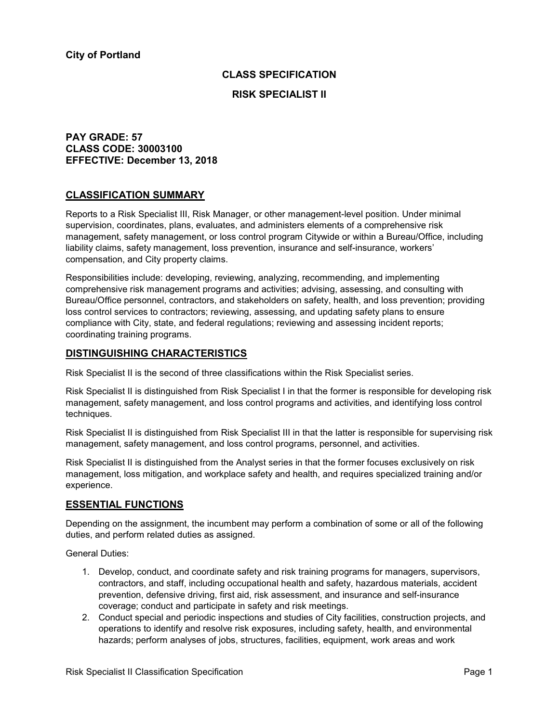# **CLASS SPECIFICATION**

### **RISK SPECIALIST II**

## **PAY GRADE: 57 CLASS CODE: 30003100 EFFECTIVE: December 13, 2018**

## **CLASSIFICATION SUMMARY**

Reports to a Risk Specialist III, Risk Manager, or other management-level position. Under minimal supervision, coordinates, plans, evaluates, and administers elements of a comprehensive risk management, safety management, or loss control program Citywide or within a Bureau/Office, including liability claims, safety management, loss prevention, insurance and self-insurance, workers' compensation, and City property claims.

Responsibilities include: developing, reviewing, analyzing, recommending, and implementing comprehensive risk management programs and activities; advising, assessing, and consulting with Bureau/Office personnel, contractors, and stakeholders on safety, health, and loss prevention; providing loss control services to contractors; reviewing, assessing, and updating safety plans to ensure compliance with City, state, and federal regulations; reviewing and assessing incident reports; coordinating training programs.

## **DISTINGUISHING CHARACTERISTICS**

Risk Specialist II is the second of three classifications within the Risk Specialist series.

Risk Specialist II is distinguished from Risk Specialist I in that the former is responsible for developing risk management, safety management, and loss control programs and activities, and identifying loss control techniques.

Risk Specialist II is distinguished from Risk Specialist III in that the latter is responsible for supervising risk management, safety management, and loss control programs, personnel, and activities.

Risk Specialist II is distinguished from the Analyst series in that the former focuses exclusively on risk management, loss mitigation, and workplace safety and health, and requires specialized training and/or experience.

## **ESSENTIAL FUNCTIONS**

Depending on the assignment, the incumbent may perform a combination of some or all of the following duties, and perform related duties as assigned.

General Duties:

- 1. Develop, conduct, and coordinate safety and risk training programs for managers, supervisors, contractors, and staff, including occupational health and safety, hazardous materials, accident prevention, defensive driving, first aid, risk assessment, and insurance and self-insurance coverage; conduct and participate in safety and risk meetings.
- 2. Conduct special and periodic inspections and studies of City facilities, construction projects, and operations to identify and resolve risk exposures, including safety, health, and environmental hazards; perform analyses of jobs, structures, facilities, equipment, work areas and work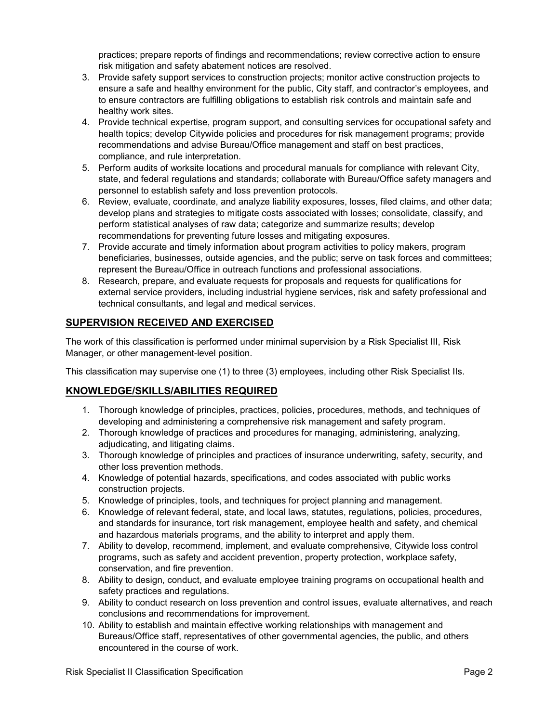practices; prepare reports of findings and recommendations; review corrective action to ensure risk mitigation and safety abatement notices are resolved.

- 3. Provide safety support services to construction projects; monitor active construction projects to ensure a safe and healthy environment for the public, City staff, and contractor's employees, and to ensure contractors are fulfilling obligations to establish risk controls and maintain safe and healthy work sites.
- 4. Provide technical expertise, program support, and consulting services for occupational safety and health topics; develop Citywide policies and procedures for risk management programs; provide recommendations and advise Bureau/Office management and staff on best practices, compliance, and rule interpretation.
- 5. Perform audits of worksite locations and procedural manuals for compliance with relevant City, state, and federal regulations and standards; collaborate with Bureau/Office safety managers and personnel to establish safety and loss prevention protocols.
- 6. Review, evaluate, coordinate, and analyze liability exposures, losses, filed claims, and other data; develop plans and strategies to mitigate costs associated with losses; consolidate, classify, and perform statistical analyses of raw data; categorize and summarize results; develop recommendations for preventing future losses and mitigating exposures.
- 7. Provide accurate and timely information about program activities to policy makers, program beneficiaries, businesses, outside agencies, and the public; serve on task forces and committees; represent the Bureau/Office in outreach functions and professional associations.
- 8. Research, prepare, and evaluate requests for proposals and requests for qualifications for external service providers, including industrial hygiene services, risk and safety professional and technical consultants, and legal and medical services.

# **SUPERVISION RECEIVED AND EXERCISED**

The work of this classification is performed under minimal supervision by a Risk Specialist III, Risk Manager, or other management-level position.

This classification may supervise one (1) to three (3) employees, including other Risk Specialist IIs.

# **KNOWLEDGE/SKILLS/ABILITIES REQUIRED**

- 1. Thorough knowledge of principles, practices, policies, procedures, methods, and techniques of developing and administering a comprehensive risk management and safety program.
- 2. Thorough knowledge of practices and procedures for managing, administering, analyzing, adjudicating, and litigating claims.
- 3. Thorough knowledge of principles and practices of insurance underwriting, safety, security, and other loss prevention methods.
- 4. Knowledge of potential hazards, specifications, and codes associated with public works construction projects.
- 5. Knowledge of principles, tools, and techniques for project planning and management.
- 6. Knowledge of relevant federal, state, and local laws, statutes, regulations, policies, procedures, and standards for insurance, tort risk management, employee health and safety, and chemical and hazardous materials programs, and the ability to interpret and apply them.
- 7. Ability to develop, recommend, implement, and evaluate comprehensive, Citywide loss control programs, such as safety and accident prevention, property protection, workplace safety, conservation, and fire prevention.
- 8. Ability to design, conduct, and evaluate employee training programs on occupational health and safety practices and regulations.
- 9. Ability to conduct research on loss prevention and control issues, evaluate alternatives, and reach conclusions and recommendations for improvement.
- 10. Ability to establish and maintain effective working relationships with management and Bureaus/Office staff, representatives of other governmental agencies, the public, and others encountered in the course of work.